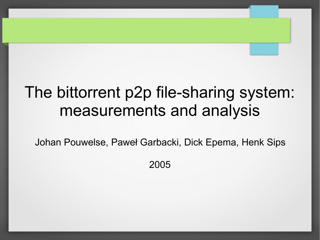# The bittorrent p2p file-sharing system: measurements and analysis

Johan Pouwelse, Paweł Garbacki, Dick Epema, Henk Sips

2005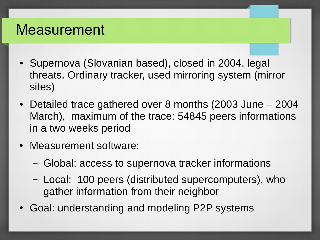### Measurement

- Supernova (Slovanian based), closed in 2004, legal threats. Ordinary tracker, used mirroring system (mirror sites)
- Detailed trace gathered over 8 months (2003 June 2004 March), maximum of the trace: 54845 peers informations in a two weeks period
- Measurement software:
	- Global: access to supernova tracker informations
	- Local: 100 peers (distributed supercomputers), who gather information from their neighbor
- Goal: understanding and modeling P2P systems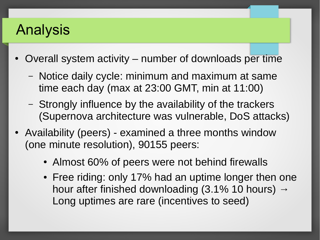## Analysis

- Overall system activity number of downloads per time
	- Notice daily cycle: minimum and maximum at same time each day (max at 23:00 GMT, min at 11:00)
	- Strongly influence by the availability of the trackers (Supernova architecture was vulnerable, DoS attacks)
- Availability (peers) examined a three months window (one minute resolution), 90155 peers:
	- Almost 60% of peers were not behind firewalls
	- Free riding: only 17% had an uptime longer then one hour after finished downloading (3.1% 10 hours)  $\rightarrow$ Long uptimes are rare (incentives to seed)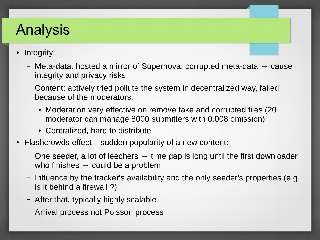# Analysis

- **Integrity** 
	- Meta-data: hosted a mirror of Supernova, corrupted meta-data  $\rightarrow$  cause integrity and privacy risks
	- Content: actively tried pollute the system in decentralized way, failed because of the moderators:
		- Moderation very effective on remove fake and corrupted files (20) moderator can manage 8000 submitters with 0.008 omission)
		- Centralized, hard to distribute
- Flashcrowds effect  $-$  sudden popularity of a new content:
	- One seeder, a lot of leechers  $\rightarrow$  time gap is long until the first downloader who finishes  $\rightarrow$  could be a problem
	- Influence by the tracker's availability and the only seeder's properties (e.g. is it behind a firewall ?)
	- After that, typically highly scalable
	- Arrival process not Poisson process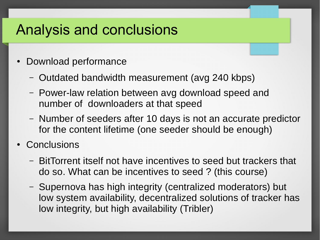#### Analysis and conclusions

- **Download performance** 
	- Outdated bandwidth measurement (avg 240 kbps)
	- Power-law relation between avg download speed and number of downloaders at that speed
	- Number of seeders after 10 days is not an accurate predictor for the content lifetime (one seeder should be enough)
- **Conclusions** 
	- BitTorrent itself not have incentives to seed but trackers that do so. What can be incentives to seed ? (this course)
	- Supernova has high integrity (centralized moderators) but low system availability, decentralized solutions of tracker has low integrity, but high availability (Tribler)